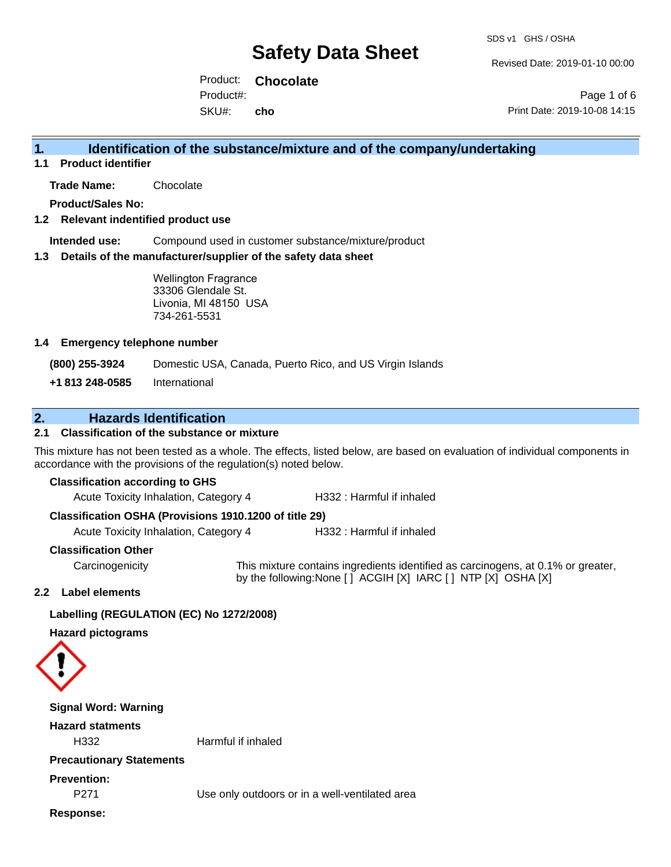Revised Date: 2019-01-10 00:00

Product: **Chocolate** SKU#: Product#: **cho**

Page 1 of 6 Print Date: 2019-10-08 14:15

# **1. Identification of the substance/mixture and of the company/undertaking**

**1.1 Product identifier**

**Trade Name:** Chocolate

**Product/Sales No:**

### **1.2 Relevant indentified product use**

**Intended use:** Compound used in customer substance/mixture/product

#### **1.3 Details of the manufacturer/supplier of the safety data sheet**

Wellington Fragrance 33306 Glendale St. Livonia, MI 48150 USA 734-261-5531

#### **1.4 Emergency telephone number**

**(800) 255-3924** Domestic USA, Canada, Puerto Rico, and US Virgin Islands

**+1 813 248-0585** International

## **2. Hazards Identification**

## **2.1 Classification of the substance or mixture**

This mixture has not been tested as a whole. The effects, listed below, are based on evaluation of individual components in accordance with the provisions of the regulation(s) noted below.

#### **Classification according to GHS**

Acute Toxicity Inhalation, Category 4 H332 : Harmful if inhaled

#### **Classification OSHA (Provisions 1910.1200 of title 29)**

Acute Toxicity Inhalation, Category 4 H332 : Harmful if inhaled

#### **Classification Other**

Carcinogenicity This mixture contains ingredients identified as carcinogens, at 0.1% or greater, by the following:None [ ] ACGIH [X] IARC [ ] NTP [X] OSHA [X]

#### **2.2 Label elements**

### **Labelling (REGULATION (EC) No 1272/2008)**

**Hazard pictograms**



| <b>Signal Word: Warning</b>            |                                                |
|----------------------------------------|------------------------------------------------|
| <b>Hazard statments</b>                |                                                |
| H332                                   | Harmful if inhaled                             |
| <b>Precautionary Statements</b>        |                                                |
| <b>Prevention:</b><br>P <sub>271</sub> | Use only outdoors or in a well-ventilated area |
| Response:                              |                                                |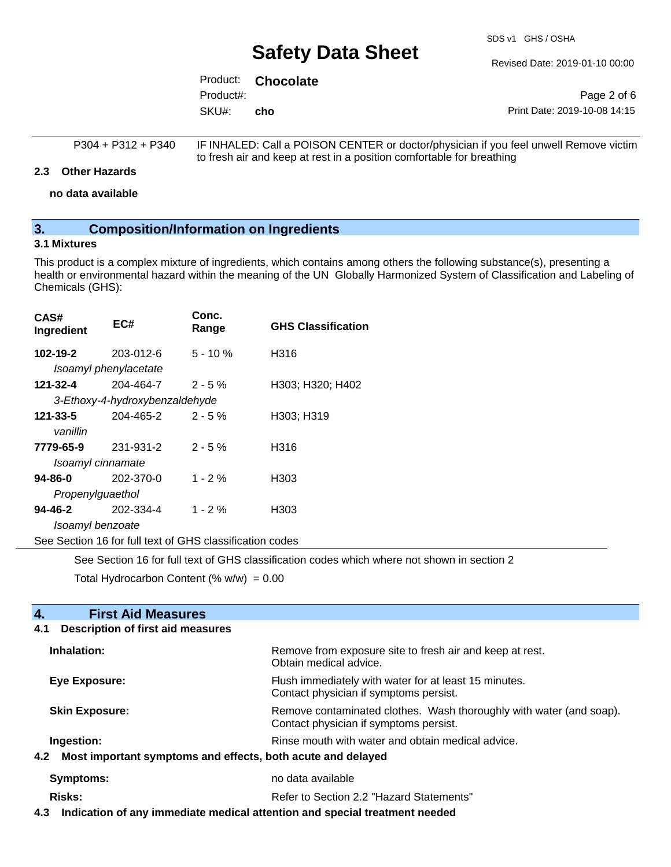SDS v1 GHS / OSHA

Revised Date: 2019-01-10 00:00

|           | Product: <b>Chocolate</b> |                              |
|-----------|---------------------------|------------------------------|
| Product#: |                           | Page 2 of 6                  |
| SKU#:     | cho                       | Print Date: 2019-10-08 14:15 |

| P304 + P312 + P340 | IF INHALED: Call a POISON CENTER or doctor/physician if you feel unwell Remove victim |
|--------------------|---------------------------------------------------------------------------------------|
|                    | to fresh air and keep at rest in a position comfortable for breathing                 |

#### **2.3 Other Hazards**

**no data available**

## **3. Composition/Information on Ingredients**

## **3.1 Mixtures**

This product is a complex mixture of ingredients, which contains among others the following substance(s), presenting a health or environmental hazard within the meaning of the UN Globally Harmonized System of Classification and Labeling of Chemicals (GHS):

| CAS#<br>Ingredient                                       | EC#                            | Conc.<br>Range | <b>GHS Classification</b> |  |
|----------------------------------------------------------|--------------------------------|----------------|---------------------------|--|
| 102-19-2                                                 | 203-012-6                      | $5 - 10 \%$    | H316                      |  |
|                                                          | Isoamyl phenylacetate          |                |                           |  |
| 121-32-4                                                 | 204-464-7                      | $2 - 5%$       | H303; H320; H402          |  |
|                                                          | 3-Ethoxy-4-hydroxybenzaldehyde |                |                           |  |
| 121-33-5                                                 | 204-465-2                      | $2 - 5%$       | H303; H319                |  |
| vanillin                                                 |                                |                |                           |  |
| 7779-65-9                                                | 231-931-2                      | $2 - 5%$       | H316                      |  |
| Isoamyl cinnamate                                        |                                |                |                           |  |
| 94-86-0                                                  | 202-370-0                      | $1 - 2%$       | H303                      |  |
| Propenylguaethol                                         |                                |                |                           |  |
| 94-46-2                                                  | 202-334-4                      | $1 - 2%$       | H303                      |  |
| Isoamyl benzoate                                         |                                |                |                           |  |
| See Section 16 for full text of GHS classification codes |                                |                |                           |  |

See Section 16 for full text of GHS classification codes which where not shown in section 2

Total Hydrocarbon Content (%  $w/w$ ) = 0.00

**4. First Aid Measures** 

| <b>Description of first aid measures</b><br>4.1                 |                                                                                                               |
|-----------------------------------------------------------------|---------------------------------------------------------------------------------------------------------------|
| Inhalation:                                                     | Remove from exposure site to fresh air and keep at rest.<br>Obtain medical advice.                            |
| Eye Exposure:                                                   | Flush immediately with water for at least 15 minutes.<br>Contact physician if symptoms persist.               |
| <b>Skin Exposure:</b>                                           | Remove contaminated clothes. Wash thoroughly with water (and soap).<br>Contact physician if symptoms persist. |
| Ingestion:                                                      | Rinse mouth with water and obtain medical advice.                                                             |
| 4.2 Most important symptoms and effects, both acute and delayed |                                                                                                               |
| Symptoms:                                                       | no data available                                                                                             |
| Risks:                                                          | Refer to Section 2.2 "Hazard Statements"                                                                      |

**4.3 Indication of any immediate medical attention and special treatment needed**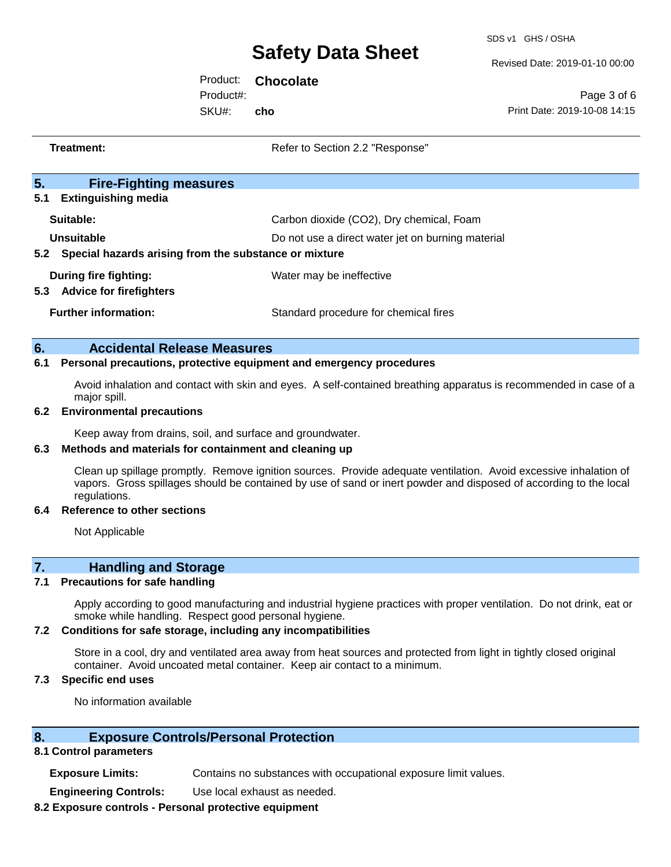SDS v1 GHS / OSHA

Revised Date: 2019-01-10 00:00

Product: **Chocolate** SKU#: Product#: **cho**

Page 3 of 6 Print Date: 2019-10-08 14:15

|     | <b>Treatment:</b>                                                   | Refer to Section 2.2 "Response"                                                                                   |
|-----|---------------------------------------------------------------------|-------------------------------------------------------------------------------------------------------------------|
| 5.  | <b>Fire-Fighting measures</b>                                       |                                                                                                                   |
| 5.1 | <b>Extinguishing media</b>                                          |                                                                                                                   |
|     | Suitable:                                                           | Carbon dioxide (CO2), Dry chemical, Foam                                                                          |
|     | Unsuitable                                                          | Do not use a direct water jet on burning material                                                                 |
|     | 5.2 Special hazards arising from the substance or mixture           |                                                                                                                   |
|     | <b>During fire fighting:</b>                                        | Water may be ineffective                                                                                          |
|     | 5.3 Advice for firefighters                                         |                                                                                                                   |
|     | <b>Further information:</b>                                         | Standard procedure for chemical fires                                                                             |
|     |                                                                     |                                                                                                                   |
| 6.  | <b>Accidental Release Measures</b>                                  |                                                                                                                   |
| 6.1 | Personal precautions, protective equipment and emergency procedures |                                                                                                                   |
|     | major spill.                                                        | Avoid inhalation and contact with skin and eyes. A self-contained breathing apparatus is recommended in case of a |
| 6.2 | <b>Environmental precautions</b>                                    |                                                                                                                   |
|     | Keep away from drains, soil, and surface and groundwater.           |                                                                                                                   |
|     | 6.2 Mothode and matoriale for containment and elegning up           |                                                                                                                   |

**6.3 Methods and materials for containment and cleaning up**

Clean up spillage promptly. Remove ignition sources. Provide adequate ventilation. Avoid excessive inhalation of vapors. Gross spillages should be contained by use of sand or inert powder and disposed of according to the local regulations.

#### **6.4 Reference to other sections**

Not Applicable

# **7. Handling and Storage**

### **7.1 Precautions for safe handling**

Apply according to good manufacturing and industrial hygiene practices with proper ventilation. Do not drink, eat or smoke while handling. Respect good personal hygiene.

### **7.2 Conditions for safe storage, including any incompatibilities**

Store in a cool, dry and ventilated area away from heat sources and protected from light in tightly closed original container. Avoid uncoated metal container. Keep air contact to a minimum.

## **7.3 Specific end uses**

No information available

## **8. Exposure Controls/Personal Protection**

### **8.1 Control parameters**

**Exposure Limits:** Contains no substances with occupational exposure limit values.

**Engineering Controls:** Use local exhaust as needed.

### **8.2 Exposure controls - Personal protective equipment**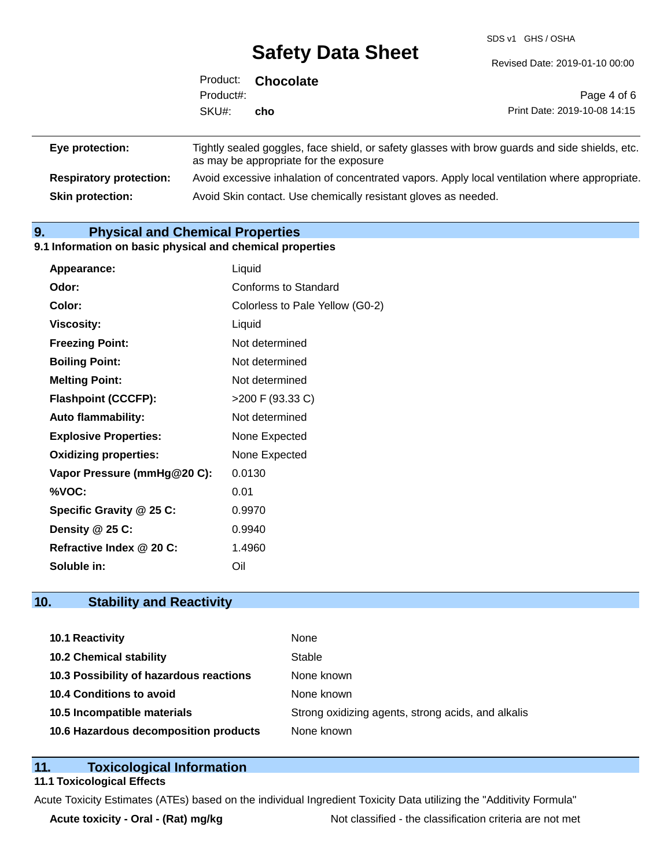SDS v1 GHS / OSHA

Revised Date: 2019-01-10 00:00

|                                | Product:<br>Product#: | <b>Chocolate</b>                       | Page 4 of 6                                                                                    |
|--------------------------------|-----------------------|----------------------------------------|------------------------------------------------------------------------------------------------|
|                                | SKU#:                 | cho                                    | Print Date: 2019-10-08 14:15                                                                   |
| Eye protection:                |                       | as may be appropriate for the exposure | Tightly sealed goggles, face shield, or safety glasses with brow guards and side shields, etc. |
| <b>Respiratory protection:</b> |                       |                                        | Avoid excessive inhalation of concentrated vapors. Apply local ventilation where appropriate.  |

**Skin protection:** Avoid Skin contact. Use chemically resistant gloves as needed.

**9. Physical and Chemical Properties** 

#### **9.1 Information on basic physical and chemical properties**

| <b>Appearance:</b>           | Liquid                          |
|------------------------------|---------------------------------|
| Odor:                        | Conforms to Standard            |
| Color:                       | Colorless to Pale Yellow (G0-2) |
| Viscosity:                   | Liquid                          |
| <b>Freezing Point:</b>       | Not determined                  |
| <b>Boiling Point:</b>        | Not determined                  |
| <b>Melting Point:</b>        | Not determined                  |
| <b>Flashpoint (CCCFP):</b>   | >200 F (93.33 C)                |
| <b>Auto flammability:</b>    | Not determined                  |
| <b>Explosive Properties:</b> | None Expected                   |
| <b>Oxidizing properties:</b> | None Expected                   |
| Vapor Pressure (mmHg@20 C):  | 0.0130                          |
| %VOC:                        | 0.01                            |
| Specific Gravity @ 25 C:     | 0.9970                          |
| Density @ 25 C:              | 0.9940                          |
| Refractive Index @ 20 C:     | 1.4960                          |
| Soluble in:                  | Oil                             |

# **10. Stability and Reactivity**

| <b>10.1 Reactivity</b>                  | None                                               |
|-----------------------------------------|----------------------------------------------------|
| <b>10.2 Chemical stability</b>          | Stable                                             |
| 10.3 Possibility of hazardous reactions | None known                                         |
| 10.4 Conditions to avoid                | None known                                         |
| 10.5 Incompatible materials             | Strong oxidizing agents, strong acids, and alkalis |
| 10.6 Hazardous decomposition products   | None known                                         |

## **11. Toxicological Information**

## **11.1 Toxicological Effects**

Acute Toxicity Estimates (ATEs) based on the individual Ingredient Toxicity Data utilizing the "Additivity Formula"

Acute toxicity - Oral - (Rat) mg/kg<br>
Not classified - the classification criteria are not met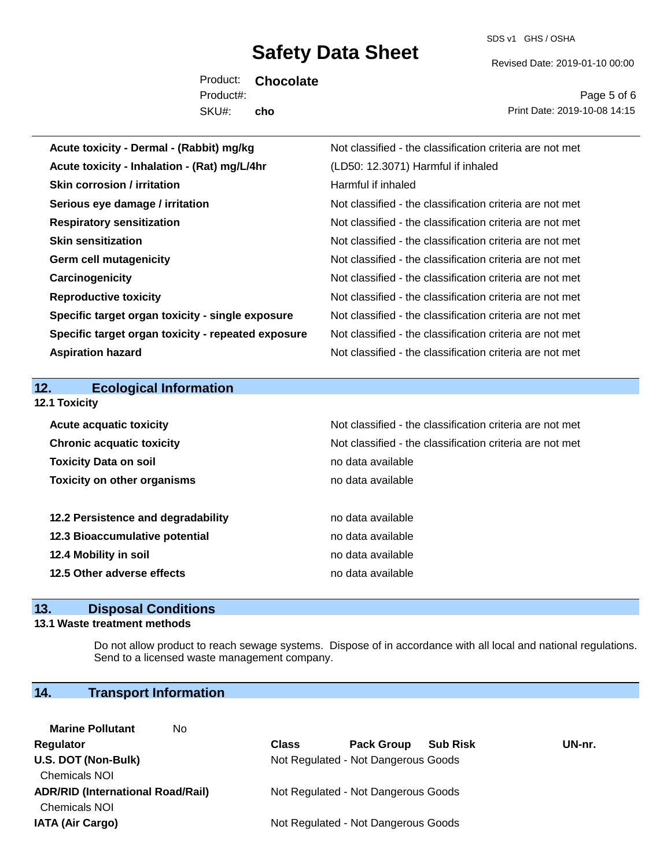SDS v1 GHS / OSHA

Revised Date: 2019-01-10 00:00

Product: **Chocolate** SKU#: Product#: **cho**

Page 5 of 6 Print Date: 2019-10-08 14:15

| Acute toxicity - Dermal - (Rabbit) mg/kg           | Not classified - the classification criteria are not met |
|----------------------------------------------------|----------------------------------------------------------|
| Acute toxicity - Inhalation - (Rat) mg/L/4hr       | (LD50: 12.3071) Harmful if inhaled                       |
| <b>Skin corrosion / irritation</b>                 | Harmful if inhaled                                       |
| Serious eye damage / irritation                    | Not classified - the classification criteria are not met |
| <b>Respiratory sensitization</b>                   | Not classified - the classification criteria are not met |
| <b>Skin sensitization</b>                          | Not classified - the classification criteria are not met |
| <b>Germ cell mutagenicity</b>                      | Not classified - the classification criteria are not met |
| Carcinogenicity                                    | Not classified - the classification criteria are not met |
| <b>Reproductive toxicity</b>                       | Not classified - the classification criteria are not met |
| Specific target organ toxicity - single exposure   | Not classified - the classification criteria are not met |
| Specific target organ toxicity - repeated exposure | Not classified - the classification criteria are not met |
| <b>Aspiration hazard</b>                           | Not classified - the classification criteria are not met |
|                                                    |                                                          |
|                                                    |                                                          |
| 12.<br><b>Ecological Information</b>               |                                                          |
| 12.1 Toxicity                                      |                                                          |
| <b>Acute acquatic toxicity</b>                     | Not classified - the classification criteria are not met |
| <b>Chronic acquatic toxicity</b>                   | Not classified - the classification criteria are not met |
| <b>Toxicity Data on soil</b>                       | no data available                                        |
| <b>Toxicity on other organisms</b>                 | no data available                                        |
|                                                    |                                                          |
| 12.2 Persistence and degradability                 | no data available                                        |
| 12.3 Bioaccumulative potential                     | no data available                                        |
| 12.4 Mobility in soil                              | no data available                                        |
| 12.5 Other adverse effects                         | no data available                                        |

## **13. Disposal Conditions**

#### **13.1 Waste treatment methods**

Do not allow product to reach sewage systems. Dispose of in accordance with all local and national regulations. Send to a licensed waste management company.

# **14. Transport Information**

| No<br><b>Marine Pollutant</b>            |              |                                     |                 |        |
|------------------------------------------|--------------|-------------------------------------|-----------------|--------|
| Regulator                                | <b>Class</b> | <b>Pack Group</b>                   | <b>Sub Risk</b> | UN-nr. |
| U.S. DOT (Non-Bulk)                      |              | Not Regulated - Not Dangerous Goods |                 |        |
| <b>Chemicals NOI</b>                     |              |                                     |                 |        |
| <b>ADR/RID (International Road/Rail)</b> |              | Not Regulated - Not Dangerous Goods |                 |        |
| <b>Chemicals NOI</b>                     |              |                                     |                 |        |
| <b>IATA (Air Cargo)</b>                  |              | Not Regulated - Not Dangerous Goods |                 |        |